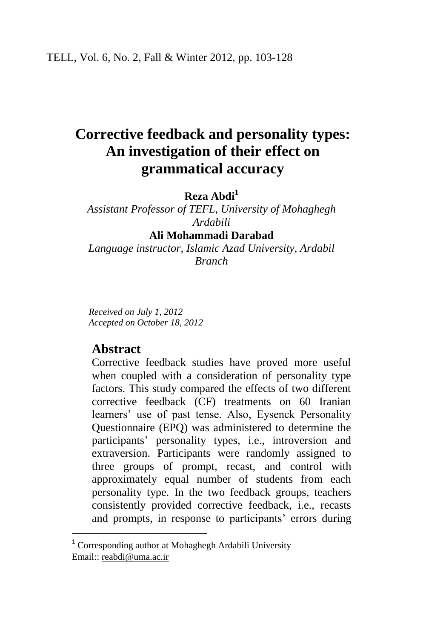# **Corrective feedback and personality types: An investigation of their effect on grammatical accuracy**

### **Reza Abdi<sup>1</sup>**

*Assistant Professor of TEFL, University of Mohaghegh Ardabili*

**Ali Mohammadi Darabad**

*Language instructor, Islamic Azad University, Ardabil Branch*

*Received on July 1, 2012 Accepted on October 18, 2012*

## **Abstract**

 $\overline{\phantom{a}}$ 

Corrective feedback studies have proved more useful when coupled with a consideration of personality type factors. This study compared the effects of two different corrective feedback (CF) treatments on 60 Iranian learners' use of past tense. Also, Eysenck Personality Questionnaire (EPQ) was administered to determine the participants' personality types, i.e., introversion and extraversion. Participants were randomly assigned to three groups of prompt, recast, and control with approximately equal number of students from each personality type. In the two feedback groups, teachers consistently provided corrective feedback, i.e., recasts and prompts, in response to participants' errors during

<sup>&</sup>lt;sup>1</sup> Corresponding author at Mohaghegh Ardabili University Email:: [reabdi@uma.ac.ir](mailto:reabdi@uma.ac.ir)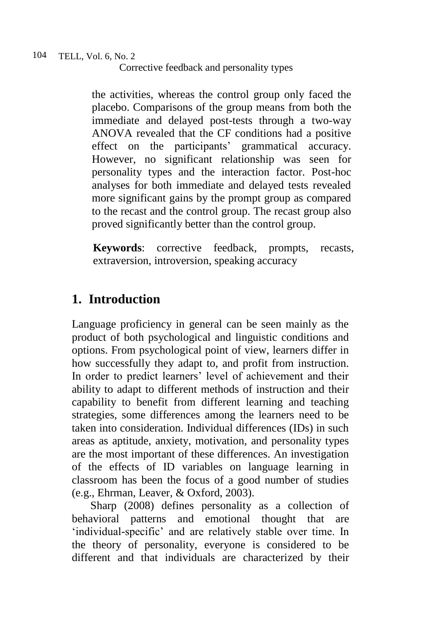the activities, whereas the control group only faced the placebo. Comparisons of the group means from both the immediate and delayed post-tests through a two-way ANOVA revealed that the CF conditions had a positive effect on the participants' grammatical accuracy. However, no significant relationship was seen for personality types and the interaction factor. Post-hoc analyses for both immediate and delayed tests revealed more significant gains by the prompt group as compared to the recast and the control group. The recast group also proved significantly better than the control group.

**Keywords**: corrective feedback, prompts, recasts, extraversion, introversion, speaking accuracy

## **1. Introduction**

Language proficiency in general can be seen mainly as the product of both psychological and linguistic conditions and options. From psychological point of view, learners differ in how successfully they adapt to, and profit from instruction. In order to predict learners' level of achievement and their ability to adapt to different methods of instruction and their capability to benefit from different learning and teaching strategies, some differences among the learners need to be taken into consideration. Individual differences (IDs) in such areas as aptitude, anxiety, motivation, and personality types are the most important of these differences. An investigation of the effects of ID variables on language learning in classroom has been the focus of a good number of studies (e.g., Ehrman, Leaver, & Oxford, 2003).

Sharp (2008) defines personality as a collection of behavioral patterns and emotional thought that are 'individual-specific' and are relatively stable over time. In the theory of personality, everyone is considered to be different and that individuals are characterized by their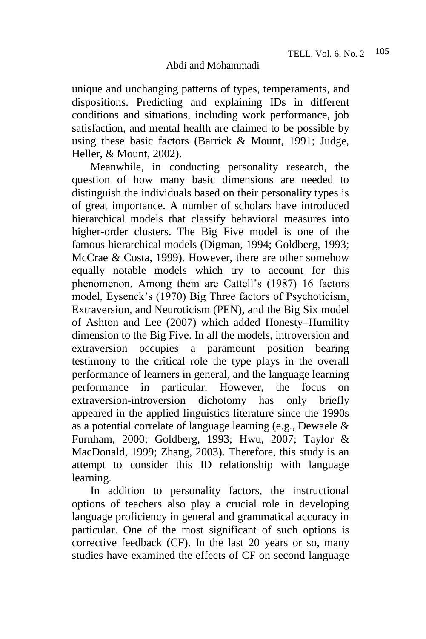unique and unchanging patterns of types, temperaments, and dispositions. Predicting and explaining IDs in different conditions and situations, including work performance, job satisfaction, and mental health are claimed to be possible by using these basic factors (Barrick & Mount, 1991; Judge, Heller, & Mount, 2002).

Meanwhile, in conducting personality research, the question of how many basic dimensions are needed to distinguish the individuals based on their personality types is of great importance. A number of scholars have introduced hierarchical models that classify behavioral measures into higher-order clusters. The Big Five model is one of the famous hierarchical models (Digman, 1994; Goldberg, 1993; McCrae & Costa, 1999). However, there are other somehow equally notable models which try to account for this phenomenon. Among them are Cattell's (1987) 16 factors model, Eysenck's (1970) Big Three factors of Psychoticism, Extraversion, and Neuroticism (PEN), and the Big Six model of Ashton and Lee (2007) which added Honesty–Humility dimension to the Big Five. In all the models, introversion and extraversion occupies a paramount position bearing testimony to the critical role the type plays in the overall performance of learners in general, and the language learning performance in particular. However, the focus on extraversion-introversion dichotomy has only briefly appeared in the applied linguistics literature since the 1990s as a potential correlate of language learning (e.g., Dewaele & Furnham, 2000; Goldberg, 1993; Hwu, 2007; Taylor & MacDonald, 1999; Zhang, 2003). Therefore, this study is an attempt to consider this ID relationship with language learning.

In addition to personality factors, the instructional options of teachers also play a crucial role in developing language proficiency in general and grammatical accuracy in particular. One of the most significant of such options is corrective feedback (CF). In the last 20 years or so, many studies have examined the effects of CF on second language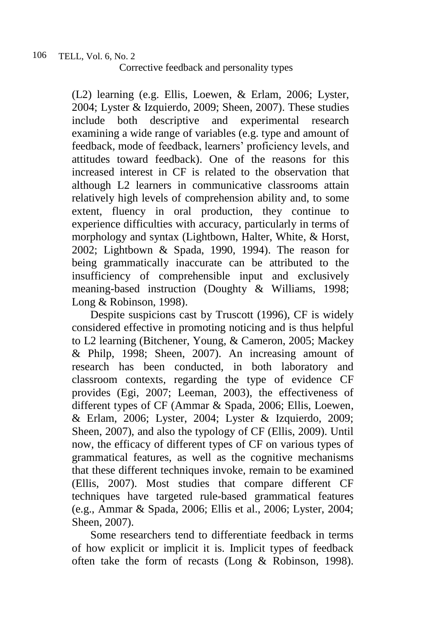(L2) learning (e.g. Ellis, Loewen, & Erlam, 2006; Lyster, 2004; Lyster & Izquierdo, 2009; Sheen, 2007). These studies include both descriptive and experimental research examining a wide range of variables (e.g. type and amount of feedback, mode of feedback, learners' proficiency levels, and attitudes toward feedback). One of the reasons for this increased interest in CF is related to the observation that although L2 learners in communicative classrooms attain relatively high levels of comprehension ability and, to some extent, fluency in oral production, they continue to experience difficulties with accuracy, particularly in terms of morphology and syntax (Lightbown, Halter, White, & Horst, 2002; Lightbown & Spada, 1990, 1994). The reason for being grammatically inaccurate can be attributed to the insufficiency of comprehensible input and exclusively meaning-based instruction (Doughty & Williams, 1998; Long & Robinson, 1998).

Despite suspicions cast by Truscott (1996), CF is widely considered effective in promoting noticing and is thus helpful to L2 learning (Bitchener, Young, & Cameron, 2005; Mackey & Philp, 1998; Sheen, 2007). An increasing amount of research has been conducted, in both laboratory and classroom contexts, regarding the type of evidence CF provides (Egi, 2007; Leeman, 2003), the effectiveness of different types of CF (Ammar & Spada, 2006; Ellis, Loewen, & Erlam, 2006; Lyster, 2004; Lyster & Izquierdo, 2009; Sheen, 2007), and also the typology of CF (Ellis, 2009). Until now, the efficacy of different types of CF on various types of grammatical features, as well as the cognitive mechanisms that these different techniques invoke, remain to be examined (Ellis, 2007). Most studies that compare different CF techniques have targeted rule-based grammatical features (e.g., Ammar & Spada, 2006; Ellis et al., 2006; Lyster, 2004; Sheen, 2007).

Some researchers tend to differentiate feedback in terms of how explicit or implicit it is. Implicit types of feedback often take the form of recasts (Long & Robinson, 1998).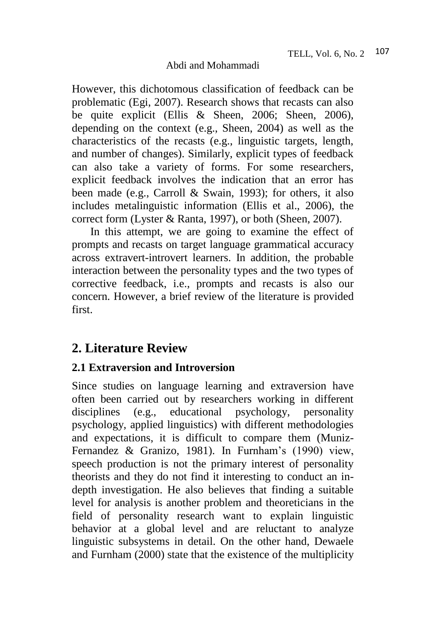However, this dichotomous classification of feedback can be problematic (Egi, 2007). Research shows that recasts can also be quite explicit (Ellis & Sheen, 2006; Sheen, 2006), depending on the context (e.g., Sheen, 2004) as well as the characteristics of the recasts (e.g., linguistic targets, length, and number of changes). Similarly, explicit types of feedback can also take a variety of forms. For some researchers, explicit feedback involves the indication that an error has been made (e.g., Carroll & Swain, 1993); for others, it also includes metalinguistic information (Ellis et al., 2006), the correct form (Lyster & Ranta, 1997), or both (Sheen, 2007).

In this attempt, we are going to examine the effect of prompts and recasts on target language grammatical accuracy across extravert-introvert learners. In addition, the probable interaction between the personality types and the two types of corrective feedback, i.e., prompts and recasts is also our concern. However, a brief review of the literature is provided first.

## **2. Literature Review**

## **2.1 Extraversion and Introversion**

Since studies on language learning and extraversion have often been carried out by researchers working in different disciplines (e.g., educational psychology, personality psychology, applied linguistics) with different methodologies and expectations, it is difficult to compare them (Muniz-Fernandez & Granizo, 1981). In Furnham's (1990) view, speech production is not the primary interest of personality theorists and they do not find it interesting to conduct an indepth investigation. He also believes that finding a suitable level for analysis is another problem and theoreticians in the field of personality research want to explain linguistic behavior at a global level and are reluctant to analyze linguistic subsystems in detail. On the other hand, Dewaele and Furnham (2000) state that the existence of the multiplicity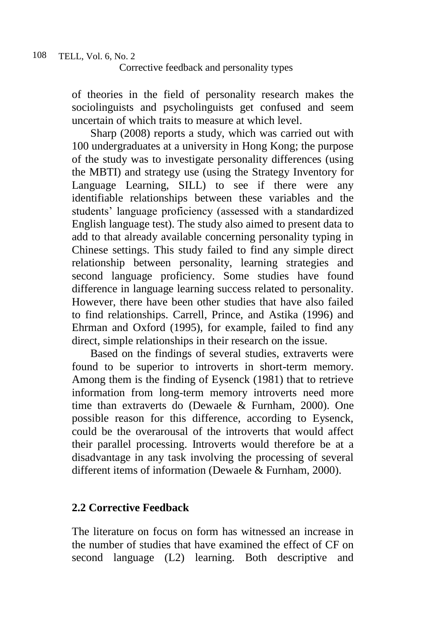of theories in the field of personality research makes the sociolinguists and psycholinguists get confused and seem uncertain of which traits to measure at which level.

Sharp (2008) reports a study, which was carried out with 100 undergraduates at a university in Hong Kong; the purpose of the study was to investigate personality differences (using the MBTI) and strategy use (using the Strategy Inventory for Language Learning, SILL) to see if there were any identifiable relationships between these variables and the students' language proficiency (assessed with a standardized English language test). The study also aimed to present data to add to that already available concerning personality typing in Chinese settings. This study failed to find any simple direct relationship between personality, learning strategies and second language proficiency. Some studies have found difference in language learning success related to personality. However, there have been other studies that have also failed to find relationships. Carrell, Prince, and Astika (1996) and Ehrman and Oxford (1995), for example, failed to find any direct, simple relationships in their research on the issue.

Based on the findings of several studies, extraverts were found to be superior to introverts in short-term memory. Among them is the finding of Eysenck (1981) that to retrieve information from long-term memory introverts need more time than extraverts do (Dewaele & Furnham, 2000). One possible reason for this difference, according to Eysenck, could be the overarousal of the introverts that would affect their parallel processing. Introverts would therefore be at a disadvantage in any task involving the processing of several different items of information (Dewaele & Furnham, 2000).

## **2.2 Corrective Feedback**

The literature on focus on form has witnessed an increase in the number of studies that have examined the effect of CF on second language (L2) learning. Both descriptive and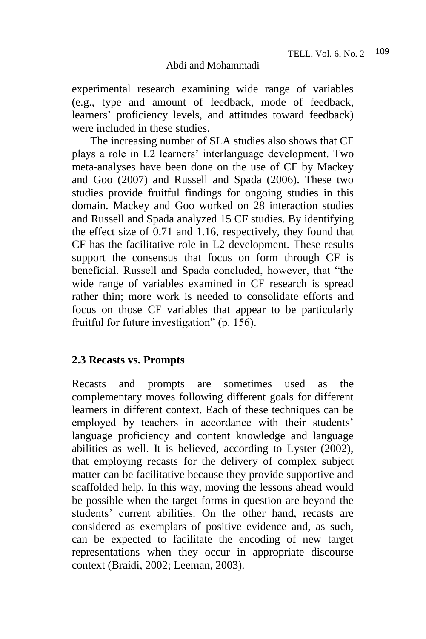experimental research examining wide range of variables (e.g., type and amount of feedback, mode of feedback, learners' proficiency levels, and attitudes toward feedback) were included in these studies.

The increasing number of SLA studies also shows that CF plays a role in L2 learners' interlanguage development. Two meta-analyses have been done on the use of CF by Mackey and Goo (2007) and Russell and Spada (2006). These two studies provide fruitful findings for ongoing studies in this domain. Mackey and Goo worked on 28 interaction studies and Russell and Spada analyzed 15 CF studies. By identifying the effect size of 0.71 and 1.16, respectively, they found that CF has the facilitative role in L2 development. These results support the consensus that focus on form through CF is beneficial. Russell and Spada concluded, however, that "the wide range of variables examined in CF research is spread rather thin; more work is needed to consolidate efforts and focus on those CF variables that appear to be particularly fruitful for future investigation" (p. 156).

## **2.3 Recasts vs. Prompts**

Recasts and prompts are sometimes used as the complementary moves following different goals for different learners in different context. Each of these techniques can be employed by teachers in accordance with their students' language proficiency and content knowledge and language abilities as well. It is believed, according to Lyster (2002), that employing recasts for the delivery of complex subject matter can be facilitative because they provide supportive and scaffolded help. In this way, moving the lessons ahead would be possible when the target forms in question are beyond the students' current abilities. On the other hand, recasts are considered as exemplars of positive evidence and, as such, can be expected to facilitate the encoding of new target representations when they occur in appropriate discourse context (Braidi, 2002; Leeman, 2003).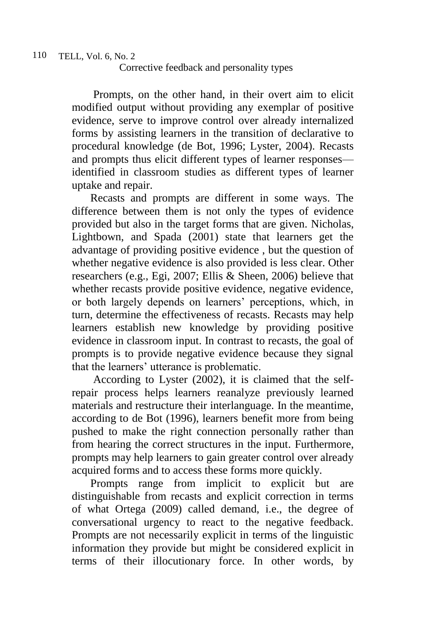Prompts, on the other hand, in their overt aim to elicit modified output without providing any exemplar of positive evidence, serve to improve control over already internalized forms by assisting learners in the transition of declarative to procedural knowledge (de Bot, 1996; Lyster, 2004). Recasts and prompts thus elicit different types of learner responses identified in classroom studies as different types of learner uptake and repair.

Recasts and prompts are different in some ways. The difference between them is not only the types of evidence provided but also in the target forms that are given. Nicholas, Lightbown, and Spada (2001) state that learners get the advantage of providing positive evidence , but the question of whether negative evidence is also provided is less clear. Other researchers (e.g., Egi, 2007; Ellis & Sheen, 2006) believe that whether recasts provide positive evidence, negative evidence, or both largely depends on learners' perceptions, which, in turn, determine the effectiveness of recasts. Recasts may help learners establish new knowledge by providing positive evidence in classroom input. In contrast to recasts, the goal of prompts is to provide negative evidence because they signal that the learners' utterance is problematic.

According to Lyster (2002), it is claimed that the selfrepair process helps learners reanalyze previously learned materials and restructure their interlanguage. In the meantime, according to de Bot (1996), learners benefit more from being pushed to make the right connection personally rather than from hearing the correct structures in the input. Furthermore, prompts may help learners to gain greater control over already acquired forms and to access these forms more quickly.

Prompts range from implicit to explicit but are distinguishable from recasts and explicit correction in terms of what Ortega (2009) called demand, i.e., the degree of conversational urgency to react to the negative feedback. Prompts are not necessarily explicit in terms of the linguistic information they provide but might be considered explicit in terms of their illocutionary force. In other words, by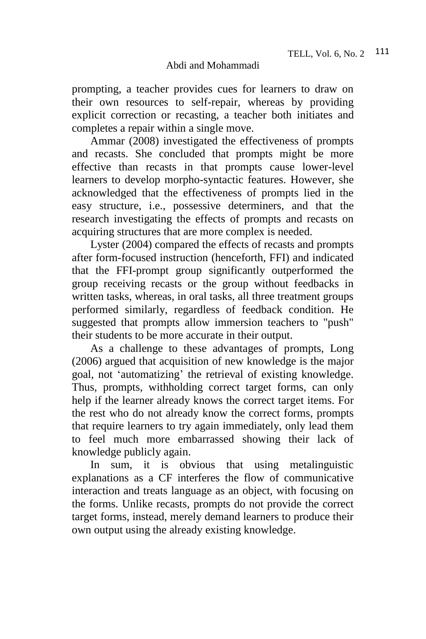prompting, a teacher provides cues for learners to draw on their own resources to self-repair, whereas by providing explicit correction or recasting, a teacher both initiates and completes a repair within a single move.

Ammar (2008) investigated the effectiveness of prompts and recasts. She concluded that prompts might be more effective than recasts in that prompts cause lower-level learners to develop morpho-syntactic features. However, she acknowledged that the effectiveness of prompts lied in the easy structure, i.e., possessive determiners, and that the research investigating the effects of prompts and recasts on acquiring structures that are more complex is needed.

Lyster (2004) compared the effects of recasts and prompts after form-focused instruction (henceforth, FFI) and indicated that the FFI-prompt group significantly outperformed the group receiving recasts or the group without feedbacks in written tasks, whereas, in oral tasks, all three treatment groups performed similarly, regardless of feedback condition. He suggested that prompts allow immersion teachers to "push" their students to be more accurate in their output.

As a challenge to these advantages of prompts, Long (2006) argued that acquisition of new knowledge is the major goal, not 'automatizing' the retrieval of existing knowledge. Thus, prompts, withholding correct target forms, can only help if the learner already knows the correct target items. For the rest who do not already know the correct forms, prompts that require learners to try again immediately, only lead them to feel much more embarrassed showing their lack of knowledge publicly again.

In sum, it is obvious that using metalinguistic explanations as a CF interferes the flow of communicative interaction and treats language as an object, with focusing on the forms. Unlike recasts, prompts do not provide the correct target forms, instead, merely demand learners to produce their own output using the already existing knowledge.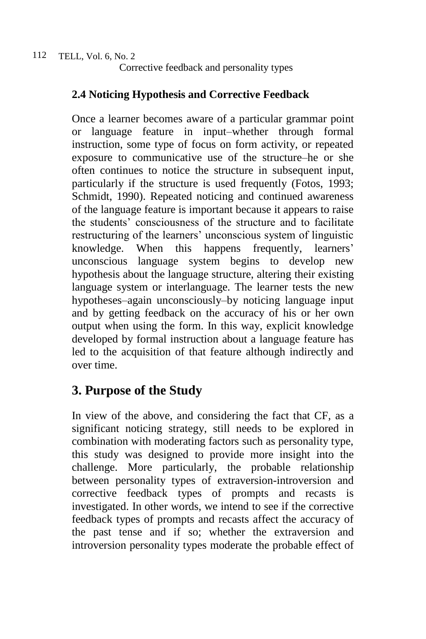## **2.4 Noticing Hypothesis and Corrective Feedback**

Once a learner becomes aware of a particular grammar point or language feature in input–whether through formal instruction, some type of focus on form activity, or repeated exposure to communicative use of the structure–he or she often continues to notice the structure in subsequent input, particularly if the structure is used frequently (Fotos, 1993; Schmidt, 1990). Repeated noticing and continued awareness of the language feature is important because it appears to raise the students' consciousness of the structure and to facilitate restructuring of the learners' unconscious system of linguistic knowledge. When this happens frequently, learners' unconscious language system begins to develop new hypothesis about the language structure, altering their existing language system or interlanguage. The learner tests the new hypotheses–again unconsciously–by noticing language input and by getting feedback on the accuracy of his or her own output when using the form. In this way, explicit knowledge developed by formal instruction about a language feature has led to the acquisition of that feature although indirectly and over time.

## **3. Purpose of the Study**

In view of the above, and considering the fact that CF, as a significant noticing strategy, still needs to be explored in combination with moderating factors such as personality type, this study was designed to provide more insight into the challenge. More particularly, the probable relationship between personality types of extraversion-introversion and corrective feedback types of prompts and recasts is investigated. In other words, we intend to see if the corrective feedback types of prompts and recasts affect the accuracy of the past tense and if so; whether the extraversion and introversion personality types moderate the probable effect of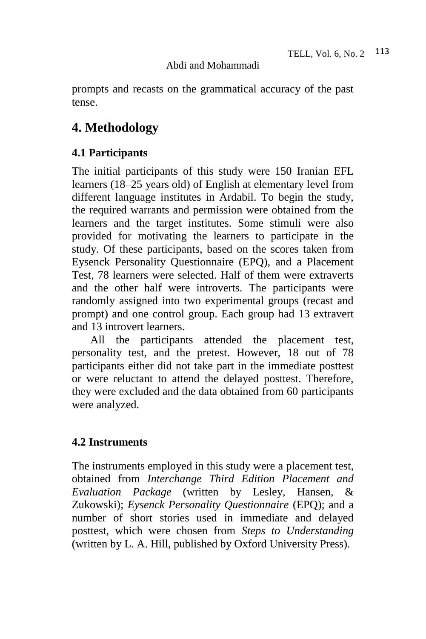prompts and recasts on the grammatical accuracy of the past tense.

## **4. Methodology**

### **4.1 Participants**

The initial participants of this study were 150 Iranian EFL learners (18–25 years old) of English at elementary level from different language institutes in Ardabil. To begin the study, the required warrants and permission were obtained from the learners and the target institutes. Some stimuli were also provided for motivating the learners to participate in the study. Of these participants, based on the scores taken from Eysenck Personality Questionnaire (EPQ), and a Placement Test, 78 learners were selected. Half of them were extraverts and the other half were introverts. The participants were randomly assigned into two experimental groups (recast and prompt) and one control group. Each group had 13 extravert and 13 introvert learners.

All the participants attended the placement test, personality test, and the pretest. However, 18 out of 78 participants either did not take part in the immediate posttest or were reluctant to attend the delayed posttest. Therefore, they were excluded and the data obtained from 60 participants were analyzed.

## **4.2 Instruments**

The instruments employed in this study were a placement test, obtained from *Interchange Third Edition Placement and Evaluation Package* (written by Lesley, Hansen, & Zukowski); *Eysenck Personality Questionnaire* (EPQ); and a number of short stories used in immediate and delayed posttest, which were chosen from *Steps to Understanding* (written by L. A. Hill, published by Oxford University Press).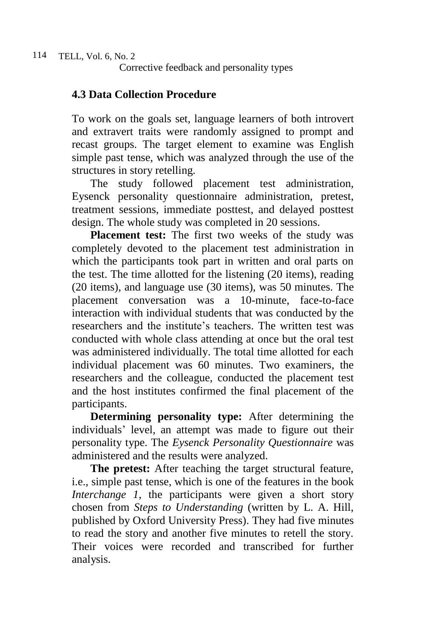### **4.3 Data Collection Procedure**

To work on the goals set, language learners of both introvert and extravert traits were randomly assigned to prompt and recast groups. The target element to examine was English simple past tense, which was analyzed through the use of the structures in story retelling.

The study followed placement test administration, Eysenck personality questionnaire administration, pretest, treatment sessions, immediate posttest, and delayed posttest design. The whole study was completed in 20 sessions.

**Placement test:** The first two weeks of the study was completely devoted to the placement test administration in which the participants took part in written and oral parts on the test. The time allotted for the listening (20 items), reading (20 items), and language use (30 items), was 50 minutes. The placement conversation was a 10-minute, face-to-face interaction with individual students that was conducted by the researchers and the institute's teachers. The written test was conducted with whole class attending at once but the oral test was administered individually. The total time allotted for each individual placement was 60 minutes. Two examiners, the researchers and the colleague, conducted the placement test and the host institutes confirmed the final placement of the participants.

**Determining personality type:** After determining the individuals' level, an attempt was made to figure out their personality type. The *Eysenck Personality Questionnaire* was administered and the results were analyzed.

**The pretest:** After teaching the target structural feature, i.e., simple past tense, which is one of the features in the book *Interchange 1*, the participants were given a short story chosen from *Steps to Understanding* (written by L. A. Hill, published by Oxford University Press). They had five minutes to read the story and another five minutes to retell the story. Their voices were recorded and transcribed for further analysis.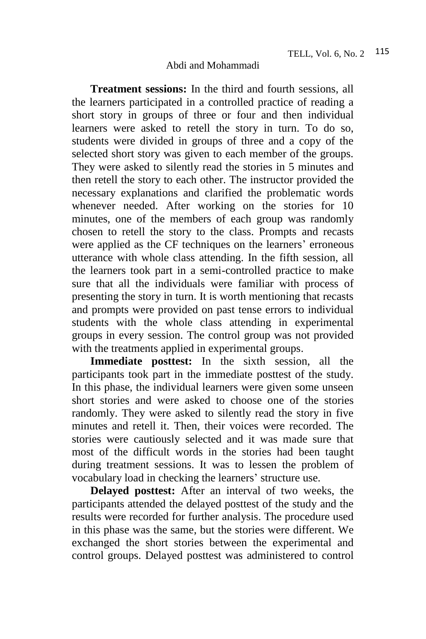**Treatment sessions:** In the third and fourth sessions, all the learners participated in a controlled practice of reading a short story in groups of three or four and then individual learners were asked to retell the story in turn. To do so, students were divided in groups of three and a copy of the selected short story was given to each member of the groups. They were asked to silently read the stories in 5 minutes and then retell the story to each other. The instructor provided the necessary explanations and clarified the problematic words whenever needed. After working on the stories for 10 minutes, one of the members of each group was randomly chosen to retell the story to the class. Prompts and recasts were applied as the CF techniques on the learners' erroneous utterance with whole class attending. In the fifth session, all the learners took part in a semi-controlled practice to make sure that all the individuals were familiar with process of presenting the story in turn. It is worth mentioning that recasts and prompts were provided on past tense errors to individual students with the whole class attending in experimental groups in every session. The control group was not provided with the treatments applied in experimental groups.

**Immediate posttest:** In the sixth session, all the participants took part in the immediate posttest of the study. In this phase, the individual learners were given some unseen short stories and were asked to choose one of the stories randomly. They were asked to silently read the story in five minutes and retell it. Then, their voices were recorded. The stories were cautiously selected and it was made sure that most of the difficult words in the stories had been taught during treatment sessions. It was to lessen the problem of vocabulary load in checking the learners' structure use.

**Delayed posttest:** After an interval of two weeks, the participants attended the delayed posttest of the study and the results were recorded for further analysis. The procedure used in this phase was the same, but the stories were different. We exchanged the short stories between the experimental and control groups. Delayed posttest was administered to control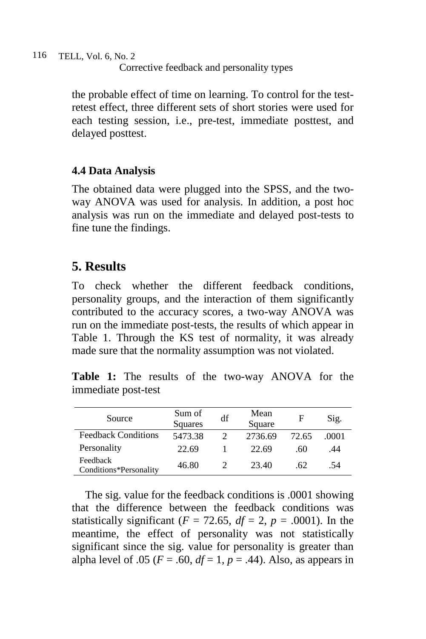the probable effect of time on learning. To control for the testretest effect, three different sets of short stories were used for each testing session, i.e., pre-test, immediate posttest, and delayed posttest.

## **4.4 Data Analysis**

The obtained data were plugged into the SPSS, and the twoway ANOVA was used for analysis. In addition, a post hoc analysis was run on the immediate and delayed post-tests to fine tune the findings.

## **5. Results**

To check whether the different feedback conditions, personality groups, and the interaction of them significantly contributed to the accuracy scores, a two-way ANOVA was run on the immediate post-tests, the results of which appear in Table 1. Through the KS test of normality, it was already made sure that the normality assumption was not violated.

**Table 1:** The results of the two-way ANOVA for the immediate post-test

| Source                             | Sum of<br><b>Squares</b> | df | Mean<br>Square | F     | Sig.  |
|------------------------------------|--------------------------|----|----------------|-------|-------|
| <b>Feedback Conditions</b>         | 5473.38                  |    | 2736.69        | 72.65 | .0001 |
| Personality                        | 22.69                    |    | 22.69          | .60   | .44   |
| Feedback<br>Conditions*Personality | 46.80                    |    | 23.40          | -62   | .54   |

The sig. value for the feedback conditions is .0001 showing that the difference between the feedback conditions was statistically significant ( $F = 72.65$ ,  $df = 2$ ,  $p = .0001$ ). In the meantime, the effect of personality was not statistically significant since the sig. value for personality is greater than alpha level of .05 ( $F = .60$ ,  $df = 1$ ,  $p = .44$ ). Also, as appears in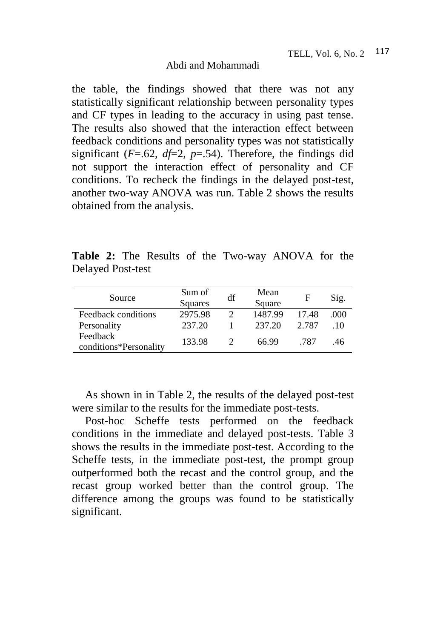the table, the findings showed that there was not any statistically significant relationship between personality types and CF types in leading to the accuracy in using past tense. The results also showed that the interaction effect between feedback conditions and personality types was not statistically significant  $(F=.62, df=2, p=.54)$ . Therefore, the findings did not support the interaction effect of personality and CF conditions. To recheck the findings in the delayed post-test, another two-way ANOVA was run. Table 2 shows the results obtained from the analysis.

**Table 2:** The Results of the Two-way ANOVA for the Delayed Post-test

| Source                             | Sum of<br>Squares | df                          | Mean<br>Square | F     | Sig. |
|------------------------------------|-------------------|-----------------------------|----------------|-------|------|
| Feedback conditions                | 2975.98           | $\mathcal{D}_{\mathcal{L}}$ | 1487.99        | 17.48 | .000 |
| Personality                        | 237.20            |                             | 237.20         | 2.787 | .10  |
| Feedback<br>conditions*Personality | 133.98            |                             | 66.99          | -787  | .46  |

As shown in in Table 2, the results of the delayed post-test were similar to the results for the immediate post-tests.

Post-hoc Scheffe tests performed on the feedback conditions in the immediate and delayed post-tests. Table 3 shows the results in the immediate post-test. According to the Scheffe tests, in the immediate post-test, the prompt group outperformed both the recast and the control group, and the recast group worked better than the control group. The difference among the groups was found to be statistically significant.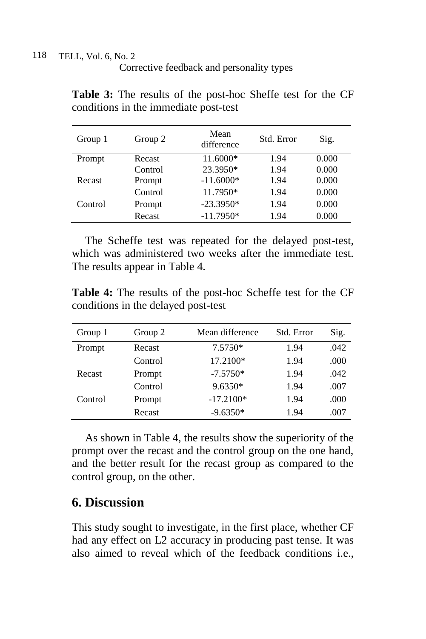TELL, Vol. 6, No. 2 118

Corrective feedback and personality types

| Group 1 | Group 2 | Mean<br>difference | Std. Error | Sig.  |
|---------|---------|--------------------|------------|-------|
| Prompt  | Recast  | 11.6000*           | 1.94       | 0.000 |
|         | Control | 23.3950*           | 1.94       | 0.000 |
| Recast  | Prompt  | $-11.6000*$        | 1.94       | 0.000 |
|         | Control | 11.7950*           | 1.94       | 0.000 |
| Control | Prompt  | $-23.3950*$        | 1.94       | 0.000 |
|         | Recast  | $-11.7950*$        | 1.94       | 0.000 |

**Table 3:** The results of the post-hoc Sheffe test for the CF conditions in the immediate post-test

The Scheffe test was repeated for the delayed post-test, which was administered two weeks after the immediate test. The results appear in Table 4.

**Table 4:** The results of the post-hoc Scheffe test for the CF conditions in the delayed post-test

| Group 1 | Group 2 | Mean difference | Std. Error | Sig. |
|---------|---------|-----------------|------------|------|
| Prompt  | Recast  | 7.5750*         | 1.94       | .042 |
|         | Control | 17.2100*        | 1.94       | .000 |
| Recast  | Prompt  | $-7.5750*$      | 1.94       | .042 |
|         | Control | $9.6350*$       | 1.94       | .007 |
| Control | Prompt  | $-17.2100*$     | 1.94       | .000 |
|         | Recast  | $-9.6350*$      | 1.94       | .007 |

As shown in Table 4, the results show the superiority of the prompt over the recast and the control group on the one hand, and the better result for the recast group as compared to the control group, on the other.

## **6. Discussion**

This study sought to investigate, in the first place, whether CF had any effect on L2 accuracy in producing past tense. It was also aimed to reveal which of the feedback conditions i.e.,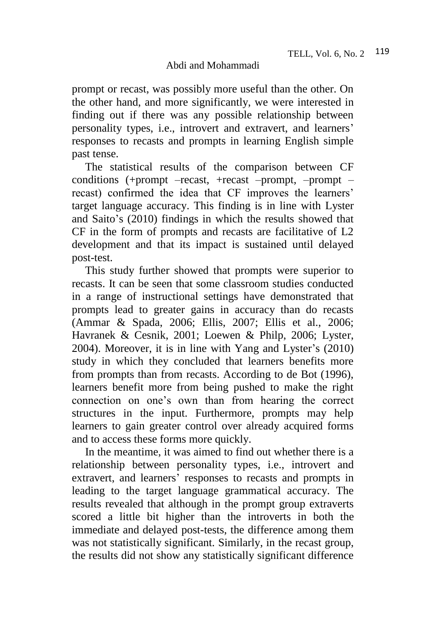prompt or recast, was possibly more useful than the other. On the other hand, and more significantly, we were interested in finding out if there was any possible relationship between personality types, i.e., introvert and extravert, and learners' responses to recasts and prompts in learning English simple past tense.

The statistical results of the comparison between CF conditions (+prompt –recast, +recast –prompt, –prompt – recast) confirmed the idea that CF improves the learners' target language accuracy. This finding is in line with Lyster and Saito's (2010) findings in which the results showed that CF in the form of prompts and recasts are facilitative of L2 development and that its impact is sustained until delayed post-test.

This study further showed that prompts were superior to recasts. It can be seen that some classroom studies conducted in a range of instructional settings have demonstrated that prompts lead to greater gains in accuracy than do recasts (Ammar & Spada, 2006; Ellis, 2007; Ellis et al., 2006; Havranek & Cesnik, 2001; Loewen & Philp, 2006; Lyster, 2004). Moreover, it is in line with Yang and Lyster's (2010) study in which they concluded that learners benefits more from prompts than from recasts. According to de Bot (1996), learners benefit more from being pushed to make the right connection on one's own than from hearing the correct structures in the input. Furthermore, prompts may help learners to gain greater control over already acquired forms and to access these forms more quickly.

In the meantime, it was aimed to find out whether there is a relationship between personality types, i.e., introvert and extravert, and learners' responses to recasts and prompts in leading to the target language grammatical accuracy. The results revealed that although in the prompt group extraverts scored a little bit higher than the introverts in both the immediate and delayed post-tests, the difference among them was not statistically significant. Similarly, in the recast group, the results did not show any statistically significant difference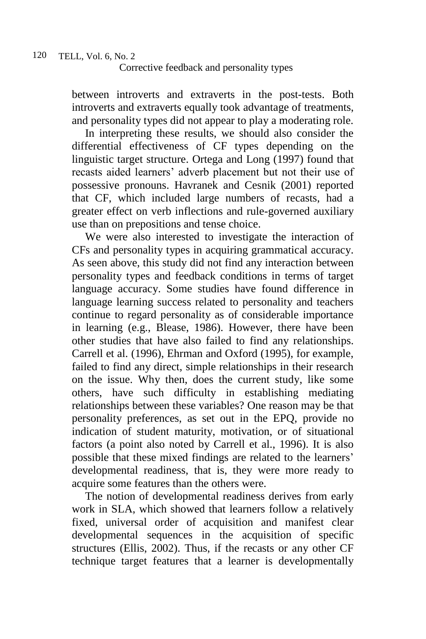between introverts and extraverts in the post-tests. Both introverts and extraverts equally took advantage of treatments, and personality types did not appear to play a moderating role.

In interpreting these results, we should also consider the differential effectiveness of CF types depending on the linguistic target structure. Ortega and Long (1997) found that recasts aided learners' adverb placement but not their use of possessive pronouns. Havranek and Cesnik (2001) reported that CF, which included large numbers of recasts, had a greater effect on verb inflections and rule-governed auxiliary use than on prepositions and tense choice.

We were also interested to investigate the interaction of CFs and personality types in acquiring grammatical accuracy. As seen above, this study did not find any interaction between personality types and feedback conditions in terms of target language accuracy. Some studies have found difference in language learning success related to personality and teachers continue to regard personality as of considerable importance in learning (e.g., Blease, 1986). However, there have been other studies that have also failed to find any relationships. Carrell et al. (1996), Ehrman and Oxford (1995), for example, failed to find any direct, simple relationships in their research on the issue. Why then, does the current study, like some others, have such difficulty in establishing mediating relationships between these variables? One reason may be that personality preferences, as set out in the EPQ, provide no indication of student maturity, motivation, or of situational factors (a point also noted by Carrell et al., 1996). It is also possible that these mixed findings are related to the learners' developmental readiness, that is, they were more ready to acquire some features than the others were.

The notion of developmental readiness derives from early work in SLA, which showed that learners follow a relatively fixed, universal order of acquisition and manifest clear developmental sequences in the acquisition of specific structures (Ellis, 2002). Thus, if the recasts or any other CF technique target features that a learner is developmentally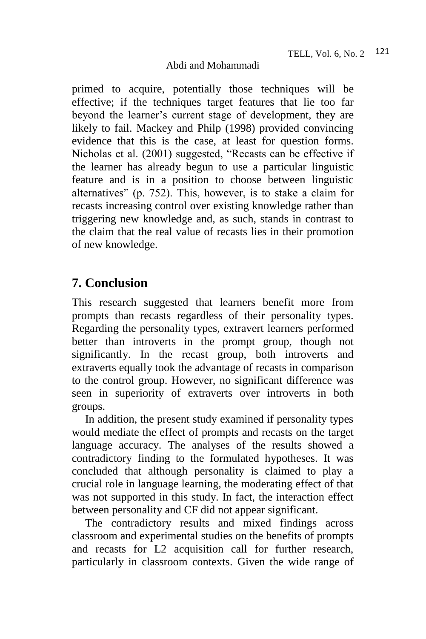primed to acquire, potentially those techniques will be effective; if the techniques target features that lie too far beyond the learner's current stage of development, they are likely to fail. Mackey and Philp (1998) provided convincing evidence that this is the case, at least for question forms. Nicholas et al. (2001) suggested, "Recasts can be effective if the learner has already begun to use a particular linguistic feature and is in a position to choose between linguistic alternatives" (p. 752). This, however, is to stake a claim for recasts increasing control over existing knowledge rather than triggering new knowledge and, as such, stands in contrast to the claim that the real value of recasts lies in their promotion of new knowledge.

## **7. Conclusion**

This research suggested that learners benefit more from prompts than recasts regardless of their personality types. Regarding the personality types, extravert learners performed better than introverts in the prompt group, though not significantly. In the recast group, both introverts and extraverts equally took the advantage of recasts in comparison to the control group. However, no significant difference was seen in superiority of extraverts over introverts in both groups.

In addition, the present study examined if personality types would mediate the effect of prompts and recasts on the target language accuracy. The analyses of the results showed a contradictory finding to the formulated hypotheses. It was concluded that although personality is claimed to play a crucial role in language learning, the moderating effect of that was not supported in this study. In fact, the interaction effect between personality and CF did not appear significant.

The contradictory results and mixed findings across classroom and experimental studies on the benefits of prompts and recasts for L2 acquisition call for further research, particularly in classroom contexts. Given the wide range of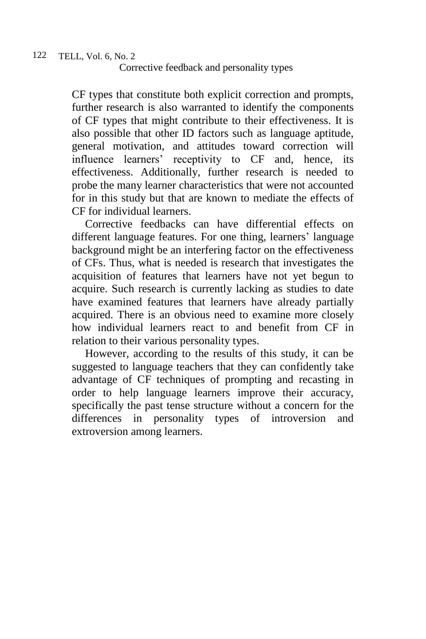CF types that constitute both explicit correction and prompts, further research is also warranted to identify the components of CF types that might contribute to their effectiveness. It is also possible that other ID factors such as language aptitude, general motivation, and attitudes toward correction will influence learners' receptivity to CF and, hence, its effectiveness. Additionally, further research is needed to probe the many learner characteristics that were not accounted for in this study but that are known to mediate the effects of CF for individual learners.

Corrective feedbacks can have differential effects on different language features. For one thing, learners' language background might be an interfering factor on the effectiveness of CFs. Thus, what is needed is research that investigates the acquisition of features that learners have not yet begun to acquire. Such research is currently lacking as studies to date have examined features that learners have already partially acquired. There is an obvious need to examine more closely how individual learners react to and benefit from CF in relation to their various personality types.

However, according to the results of this study, it can be suggested to language teachers that they can confidently take advantage of CF techniques of prompting and recasting in order to help language learners improve their accuracy, specifically the past tense structure without a concern for the differences in personality types of introversion and extroversion among learners.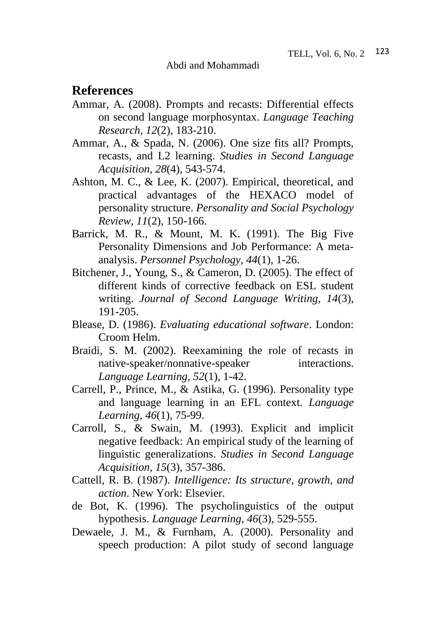## **References**

- Ammar, A. (2008). Prompts and recasts: Differential effects on second language morphosyntax. *Language Teaching Research, 12*(2), 183-210.
- Ammar, A., & Spada, N. (2006). One size fits all? Prompts, recasts, and L2 learning. *Studies in Second Language Acquisition, 28*(4)*,* 543-574.
- Ashton, M. C., & Lee, K. (2007). Empirical, theoretical, and practical advantages of the HEXACO model of personality structure. *Personality and Social Psychology Review, 11*(2), 150-166.
- Barrick, M. R., & Mount, M. K. (1991). The Big Five Personality Dimensions and Job Performance: A metaanalysis. *Personnel Psychology, 44*(1), 1-26.
- Bitchener, J., Young, S., & Cameron, D. (2005). The effect of different kinds of corrective feedback on ESL student writing. *Journal of Second Language Writing, 14*(3), 191-205.
- Blease, D. (1986). *Evaluating educational software*. London: Croom Helm.
- Braidi, S. M. (2002). Reexamining the role of recasts in native-speaker/nonnative-speaker interactions. *Language Learning, 52*(1)*,* 1-42.
- Carrell, P., Prince, M., & Astika, G. (1996). Personality type and language learning in an EFL context. *Language Learning, 46*(1), 75-99.
- Carroll, S., & Swain, M. (1993). Explicit and implicit negative feedback: An empirical study of the learning of linguistic generalizations. *Studies in Second Language Acquisition, 15*(3)*,* 357-386.
- Cattell, R. B. (1987). *Intelligence: Its structure, growth, and action*. New York: Elsevier.
- de Bot, K. (1996). The psycholinguistics of the output hypothesis. *Language Learning, 46*(3), 529-555.
- Dewaele, J. M., & Furnham, A. (2000). Personality and speech production: A pilot study of second language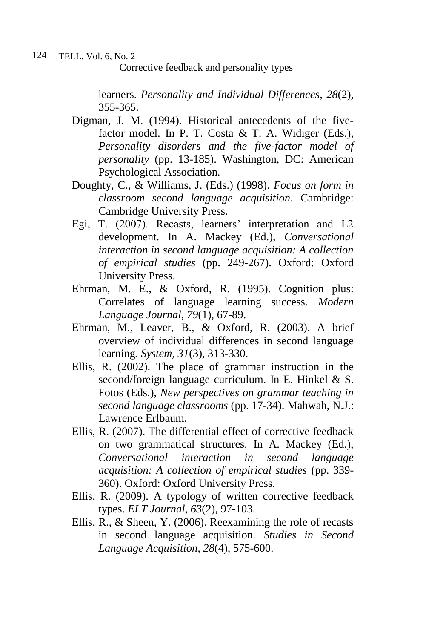learners. *Personality and Individual Differences*, *28*(2), 355-365.

- Digman, J. M. (1994). Historical antecedents of the fivefactor model. In P. T. Costa & T. A. Widiger (Eds.), *Personality disorders and the five-factor model of personality* (pp. 13-185). Washington, DC: American Psychological Association.
- Doughty, C., & Williams, J. (Eds.) (1998). *Focus on form in classroom second language acquisition*. Cambridge: Cambridge University Press.
- Egi, T. (2007). Recasts, learners' interpretation and L2 development. In A. Mackey (Ed.), *Conversational interaction in second language acquisition: A collection of empirical studies* (pp. 249-267). Oxford: Oxford University Press.
- Ehrman, M. E., & Oxford, R. (1995). Cognition plus: Correlates of language learning success. *Modern Language Journal, 79*(1), 67-89.
- Ehrman, M., Leaver, B., & Oxford, R. (2003). A brief overview of individual differences in second language learning*. System, 31*(3), 313-330.
- Ellis, R. (2002). The place of grammar instruction in the second/foreign language curriculum. In E. Hinkel & S. Fotos (Eds.), *New perspectives on grammar teaching in second language classrooms* (pp. 17-34). Mahwah, N.J.: Lawrence Erlbaum.
- Ellis, R. (2007). The differential effect of corrective feedback on two grammatical structures. In A. Mackey (Ed.), *Conversational interaction in second language acquisition: A collection of empirical studies* (pp. 339- 360). Oxford: Oxford University Press.
- Ellis, R. (2009). A typology of written corrective feedback types. *ELT Journal, 63*(2), 97-103.
- Ellis, R., & Sheen, Y. (2006). Reexamining the role of recasts in second language acquisition. *Studies in Second Language Acquisition, 28*(4), 575-600.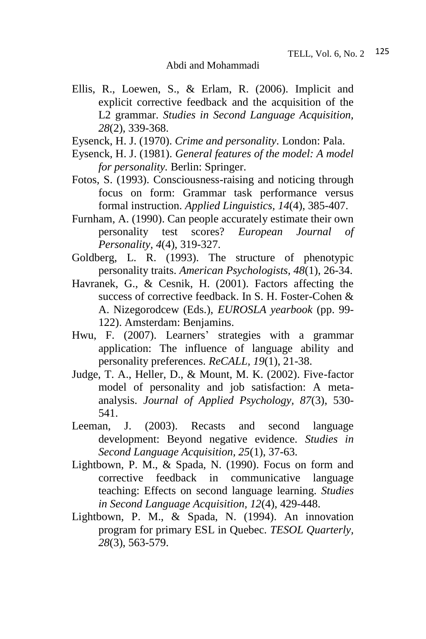- Ellis, R., Loewen, S., & Erlam, R. (2006). Implicit and explicit corrective feedback and the acquisition of the L2 grammar. *Studies in Second Language Acquisition, 28*(2)*,* 339-368.
- Eysenck, H. J. (1970). *Crime and personality*. London: Pala.
- Eysenck, H. J. (1981). *General features of the model: A model for personality.* Berlin: Springer.
- Fotos, S. (1993). Consciousness-raising and noticing through focus on form: Grammar task performance versus formal instruction. *Applied Linguistics, 14*(4), 385-407.
- Furnham, A. (1990). Can people accurately estimate their own personality test scores? *European Journal of Personality*, *4*(4), 319-327.
- Goldberg, L. R. (1993). The structure of phenotypic personality traits. *American Psychologists, 48*(1), 26-34.
- Havranek, G., & Cesnik, H. (2001). Factors affecting the success of corrective feedback. In S. H. Foster-Cohen & A. Nizegorodcew (Eds.), *EUROSLA yearbook* (pp. 99- 122). Amsterdam: Benjamins.
- Hwu, F. (2007). Learners' strategies with a grammar application: The influence of language ability and personality preferences. *ReCALL, 19*(1), 21-38.
- Judge, T. A., Heller, D., & Mount, M. K. (2002). Five-factor model of personality and job satisfaction: A metaanalysis. *Journal of Applied Psychology, 87*(3), 530- 541.
- Leeman, J. (2003). Recasts and second language development: Beyond negative evidence. *Studies in Second Language Acquisition, 25*(1), 37-63.
- Lightbown, P. M., & Spada, N. (1990). Focus on form and corrective feedback in communicative language teaching: Effects on second language learning. *Studies in Second Language Acquisition, 12*(4), 429-448.
- Lightbown, P. M., & Spada, N. (1994). An innovation program for primary ESL in Quebec. *TESOL Quarterly, 28*(3), 563-579.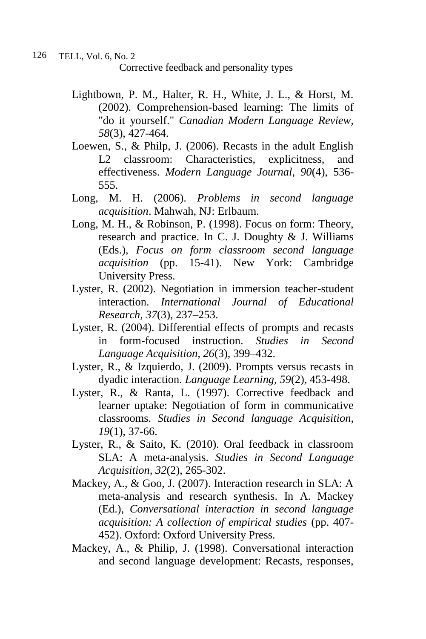- Lightbown, P. M., Halter, R. H., White, J. L., & Horst, M. (2002). Comprehension-based learning: The limits of "do it yourself." *Canadian Modern Language Review, 58*(3), 427-464.
- Loewen, S., & Philp, J. (2006). Recasts in the adult English L2 classroom: Characteristics, explicitness, and effectiveness. *Modern Language Journal, 90*(4), 536- 555.
- Long, M. H. (2006). *Problems in second language acquisition*. Mahwah, NJ: Erlbaum.
- Long, M. H., & Robinson, P. (1998). Focus on form: Theory, research and practice. In C. J. Doughty & J. Williams (Eds.), *Focus on form classroom second language acquisition* (pp. 15-41). New York: Cambridge University Press.
- Lyster, R. (2002). Negotiation in immersion teacher-student interaction. *International Journal of Educational Research, 37*(3), 237–253.
- Lyster, R. (2004). Differential effects of prompts and recasts in form-focused instruction. *Studies in Second Language Acquisition, 26*(3), 399–432.
- Lyster, R., & Izquierdo, J. (2009). Prompts versus recasts in dyadic interaction. *Language Learning, 59*(2), 453-498.
- Lyster, R., & Ranta, L. (1997). Corrective feedback and learner uptake: Negotiation of form in communicative classrooms. *Studies in Second language Acquisition, 19*(1), 37-66.
- Lyster, R., & Saito, K. (2010). Oral feedback in classroom SLA: A meta-analysis. *Studies in Second Language Acquisition, 32*(2), 265-302.
- Mackey, A., & Goo, J. (2007). Interaction research in SLA: A meta-analysis and research synthesis. In A. Mackey (Ed.), *Conversational interaction in second language acquisition: A collection of empirical studies* (pp. 407- 452). Oxford: Oxford University Press.
- Mackey, A., & Philip, J. (1998). Conversational interaction and second language development: Recasts, responses,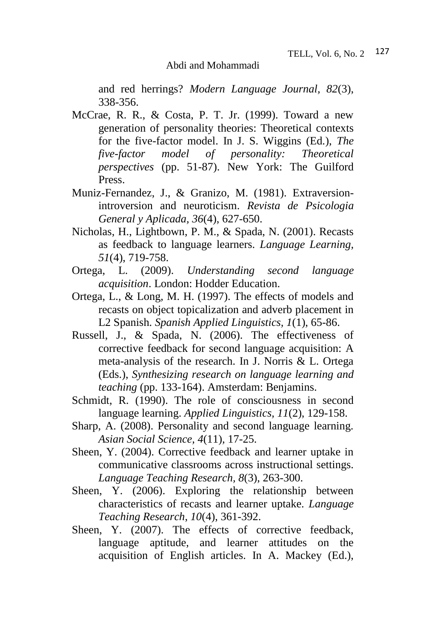and red herrings? *Modern Language Journal, 82*(3), 338-356.

- McCrae, R. R., & Costa, P. T. Jr. (1999). Toward a new generation of personality theories: Theoretical contexts for the five-factor model. In J. S. Wiggins (Ed.), *The five-factor model of personality: Theoretical perspectives* (pp. 51-87). New York: The Guilford Press.
- Muniz-Fernandez, J., & Granizo, M. (1981). Extraversionintroversion and neuroticism. *Revista de Psicologia General y Aplicada, 36*(4), 627-650.
- Nicholas, H., Lightbown, P. M., & Spada, N. (2001). Recasts as feedback to language learners. *Language Learning, 51*(4), 719-758.
- Ortega, L. (2009). *Understanding second language acquisition*. London: Hodder Education.
- Ortega, L., & Long, M. H. (1997). The effects of models and recasts on object topicalization and adverb placement in L2 Spanish. *Spanish Applied Linguistics, 1*(1), 65-86.
- Russell, J., & Spada, N. (2006). The effectiveness of corrective feedback for second language acquisition: A meta-analysis of the research. In J. Norris & L. Ortega (Eds.), *Synthesizing research on language learning and teaching* (pp. 133-164). Amsterdam: Benjamins.
- Schmidt, R. (1990). The role of consciousness in second language learning. *Applied Linguistics, 11*(2), 129-158.
- Sharp, A. (2008). Personality and second language learning. *Asian Social Science, 4*(11)*,* 17-25.
- Sheen, Y. (2004). Corrective feedback and learner uptake in communicative classrooms across instructional settings. *Language Teaching Research, 8*(3), 263-300.
- Sheen, Y. (2006). Exploring the relationship between characteristics of recasts and learner uptake. *Language Teaching Research*, *10*(4), 361-392.
- Sheen, Y. (2007). The effects of corrective feedback, language aptitude, and learner attitudes on the acquisition of English articles. In A. Mackey (Ed.),